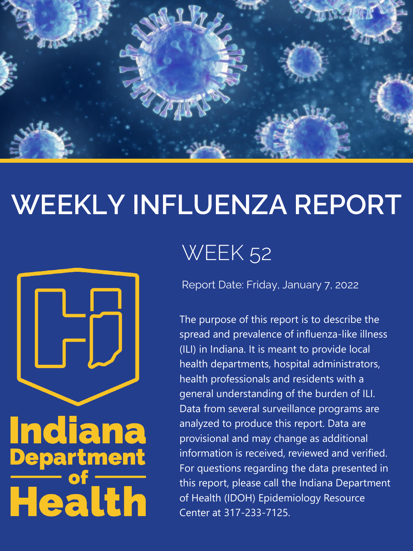

# **WEEKLY INFLUENZA REPORT**



# **Indiana**<br>Department<br>Health

# WEEK 52

Report Date: Friday, January 7, 2022

The purpose of this report is to describe the spread and prevalence of influenza-like illness (ILI) in Indiana. It is meant to provide local health departments, hospital administrators, health professionals and residents with a general understanding of the burden of ILI. Data from several surveillance programs are analyzed to produce this report. Data are provisional and may change as additional information is received, reviewed and verified. For questions regarding the data presented in this report, please call the Indiana Department of Health (IDOH) Epidemiology Resource Center at 317-233-7125.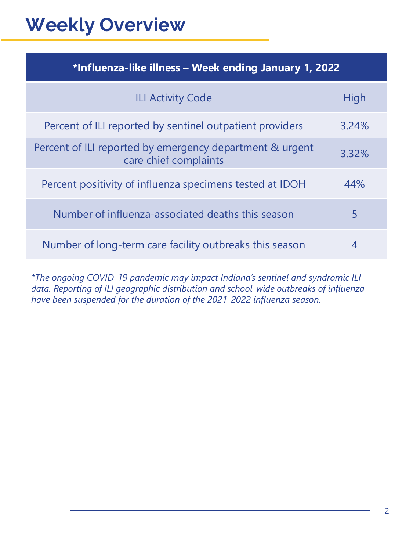### **Weekly Overview**

| *Influenza-like illness – Week ending January 1, 2022                             |       |  |  |
|-----------------------------------------------------------------------------------|-------|--|--|
| <b>ILI Activity Code</b>                                                          | High  |  |  |
| Percent of ILI reported by sentinel outpatient providers                          | 3.24% |  |  |
| Percent of ILI reported by emergency department & urgent<br>care chief complaints | 3.32% |  |  |
| Percent positivity of influenza specimens tested at IDOH                          | 44%   |  |  |
| Number of influenza-associated deaths this season                                 | 5     |  |  |
| Number of long-term care facility outbreaks this season                           | 4     |  |  |

*\*The ongoing COVID-19 pandemic may impact Indiana's sentinel and syndromic ILI data. Reporting of ILI geographic distribution and school-wide outbreaks of influenza have been suspended for the duration of the 2021-2022 influenza season.*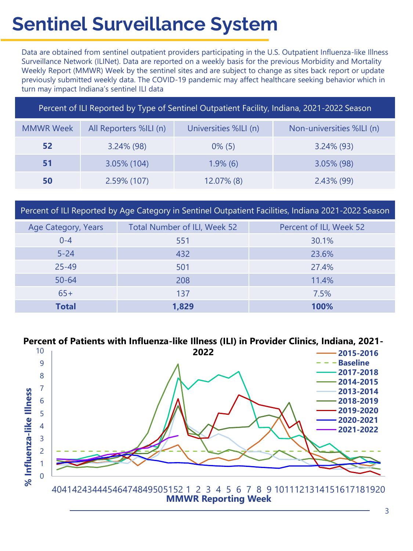# **Sentinel Surveillance System**

Data are obtained from sentinel outpatient providers participating in the U.S. Outpatient Influenza-like Illness Surveillance Network (ILINet). Data are reported on a weekly basis for the previous Morbidity and Mortality Weekly Report (MMWR) Week by the sentinel sites and are subject to change as sites back report or update previously submitted weekly data. The COVID-19 pandemic may affect healthcare seeking behavior which in turn may impact Indiana's sentinel ILI data

| Percent of ILI Reported by Type of Sentinel Outpatient Facility, Indiana, 2021-2022 Season |                        |                       |                           |
|--------------------------------------------------------------------------------------------|------------------------|-----------------------|---------------------------|
| <b>MMWR Week</b>                                                                           | All Reporters %ILI (n) | Universities %ILI (n) | Non-universities %ILI (n) |
| 52                                                                                         | $3.24\%$ (98)          | $0\%$ (5)             | $3.24\%$ (93)             |
| 51                                                                                         | $3.05\%$ (104)         | $1.9\%$ (6)           | $3.05\%$ (98)             |
| 50                                                                                         | $2.59\%$ (107)         | $12.07\%$ (8)         | $2.43\%$ (99)             |

Percent of ILI Reported by Age Category in Sentinel Outpatient Facilities, Indiana 2021-2022 Season

| Age Category, Years | Total Number of ILI, Week 52 | Percent of ILI, Week 52 |
|---------------------|------------------------------|-------------------------|
| $0 - 4$             | 551                          | 30.1%                   |
| $5 - 24$            | 432                          | 23.6%                   |
| $25 - 49$           | 501                          | 27.4%                   |
| $50 - 64$           | 208                          | 11.4%                   |
| $65+$               | 137                          | 7.5%                    |
| <b>Total</b>        | 1,829                        | 100%                    |

### **Percent of Patients with Influenza-like Illness (ILI) in Provider Clinics, Indiana, 2021-**

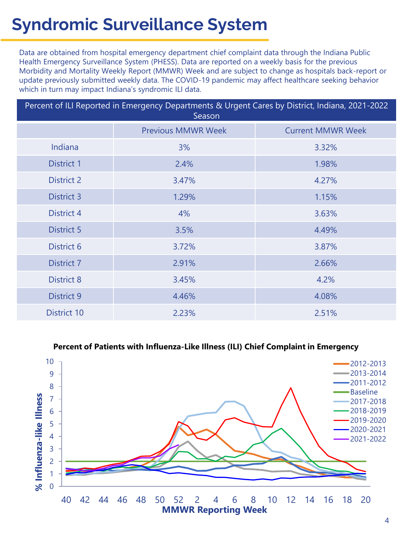### **Syndromic Surveillance System**

Data are obtained from hospital emergency department chief complaint data through the Indiana Public Health Emergency Surveillance System (PHESS). Data are reported on a weekly basis for the previous Morbidity and Mortality Weekly Report (MMWR) Week and are subject to change as hospitals back-report or update previously submitted weekly data. The COVID-19 pandemic may affect healthcare seeking behavior which in turn may impact Indiana's syndromic ILI data.

| Percent of ILI Reported in Emergency Departments & Urgent Cares by District, Indiana, 2021-2022<br>Season |                           |                          |  |
|-----------------------------------------------------------------------------------------------------------|---------------------------|--------------------------|--|
|                                                                                                           | <b>Previous MMWR Week</b> | <b>Current MMWR Week</b> |  |
| Indiana                                                                                                   | 3%                        | 3.32%                    |  |
| <b>District 1</b>                                                                                         | 2.4%                      | 1.98%                    |  |
| <b>District 2</b>                                                                                         | 3.47%                     | 4.27%                    |  |
| District 3                                                                                                | 1.29%                     | 1.15%                    |  |
| District 4                                                                                                | 4%                        | 3.63%                    |  |
| <b>District 5</b>                                                                                         | 3.5%                      | 4.49%                    |  |
| District 6                                                                                                | 3.72%                     | 3.87%                    |  |
| District 7                                                                                                | 2.91%                     | 2.66%                    |  |
| District 8                                                                                                | 3.45%                     | 4.2%                     |  |
| District 9                                                                                                | 4.46%                     | 4.08%                    |  |
| District 10                                                                                               | 2.23%                     | 2.51%                    |  |

**Percent of Patients with Influenza-Like Illness (ILI) Chief Complaint in Emergency** 

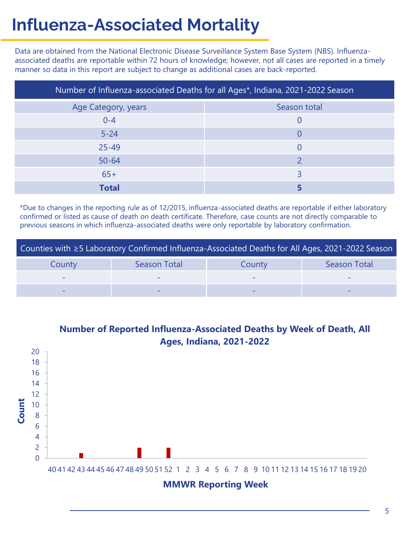### **Influenza-Associated Mortality**

Data are obtained from the National Electronic Disease Surveillance System Base System (NBS). Influenzaassociated deaths are reportable within 72 hours of knowledge; however, not all cases are reported in a timely manner so data in this report are subject to change as additional cases are back-reported.

| Number of Influenza-associated Deaths for all Ages*, Indiana, 2021-2022 Season |              |  |  |
|--------------------------------------------------------------------------------|--------------|--|--|
| Age Category, years                                                            | Season total |  |  |
| $0 - 4$                                                                        |              |  |  |
| $5 - 24$                                                                       |              |  |  |
| $25 - 49$                                                                      |              |  |  |
| $50 - 64$                                                                      |              |  |  |
| $65+$                                                                          |              |  |  |
| <b>Total</b>                                                                   |              |  |  |

\*Due to changes in the reporting rule as of 12/2015, influenza-associated deaths are reportable if either laboratory confirmed or listed as cause of death on death certificate. Therefore, case counts are not directly comparable to previous seasons in which influenza-associated deaths were only reportable by laboratory confirmation.

|        |              | Counties with $\geq$ 5 Laboratory Confirmed Influenza-Associated Deaths for All Ages, 2021-2022 Season |              |
|--------|--------------|--------------------------------------------------------------------------------------------------------|--------------|
| County | Season Total | County                                                                                                 | Season Total |
|        |              |                                                                                                        |              |
|        |              |                                                                                                        |              |

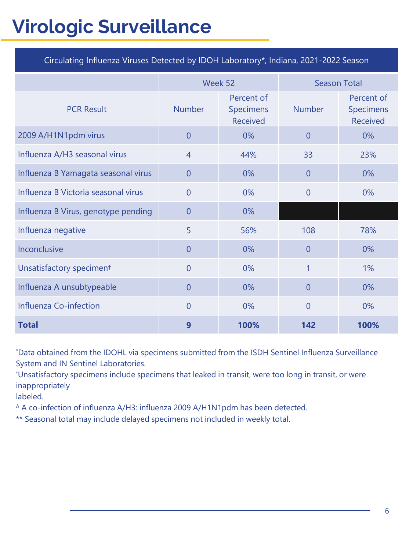# **Virologic Surveillance**

| Circulating Influenza Viruses Detected by IDOH Laboratory*, Indiana, 2021-2022 Season |                |                                                   |                     |                                            |
|---------------------------------------------------------------------------------------|----------------|---------------------------------------------------|---------------------|--------------------------------------------|
|                                                                                       | Week 52        |                                                   | <b>Season Total</b> |                                            |
| <b>PCR Result</b>                                                                     | <b>Number</b>  | Percent of<br><b>Specimens</b><br><b>Received</b> | <b>Number</b>       | Percent of<br>Specimens<br><b>Received</b> |
| 2009 A/H1N1pdm virus                                                                  | $\overline{0}$ | 0%                                                | $\overline{0}$      | 0%                                         |
| Influenza A/H3 seasonal virus                                                         | $\overline{4}$ | 44%                                               | 33                  | 23%                                        |
| Influenza B Yamagata seasonal virus                                                   | $\theta$       | 0%                                                | $\overline{0}$      | 0%                                         |
| Influenza B Victoria seasonal virus                                                   | $\overline{0}$ | 0%                                                | $\overline{0}$      | 0%                                         |
| Influenza B Virus, genotype pending                                                   | $\theta$       | 0%                                                |                     |                                            |
| Influenza negative                                                                    | 5              | 56%                                               | 108                 | 78%                                        |
| Inconclusive                                                                          | $\overline{0}$ | 0%                                                | $\overline{0}$      | $0\%$                                      |
| Unsatisfactory speciment                                                              | $\overline{0}$ | 0%                                                | 1                   | 1%                                         |
| Influenza A unsubtypeable                                                             | $\overline{0}$ | 0%                                                | $\overline{0}$      | 0%                                         |
| Influenza Co-infection                                                                | $\overline{0}$ | 0%                                                | $\overline{0}$      | 0%                                         |
| <b>Total</b>                                                                          | 9              | 100%                                              | 142                 | 100%                                       |

\*Data obtained from the IDOHL via specimens submitted from the ISDH Sentinel Influenza Surveillance System and IN Sentinel Laboratories.

†Unsatisfactory specimens include specimens that leaked in transit, were too long in transit, or were inappropriately

labeled.

<sup>∆</sup> A co-infection of influenza A/H3: influenza 2009 A/H1N1pdm has been detected.

\*\* Seasonal total may include delayed specimens not included in weekly total.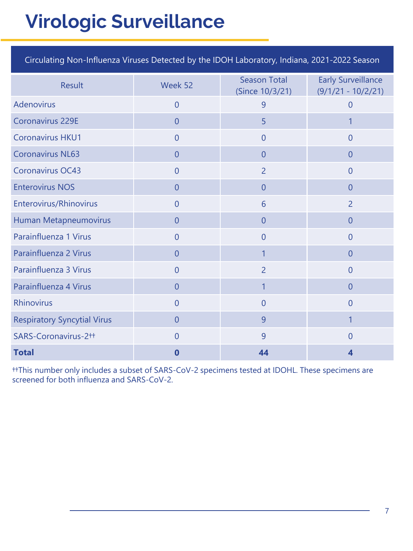# **Virologic Surveillance**

Circulating Non-Influenza Viruses Detected by the IDOH Laboratory, Indiana, 2021-2022 Season

| <b>Result</b>                      | Week 52          | <b>Season Total</b><br>(Since 10/3/21) | <b>Early Surveillance</b><br>$(9/1/21 - 10/2/21)$ |
|------------------------------------|------------------|----------------------------------------|---------------------------------------------------|
| <b>Adenovirus</b>                  | $\overline{0}$   | 9                                      | $\overline{0}$                                    |
| Coronavirus 229E                   | $\overline{0}$   | 5                                      | 1                                                 |
| Coronavirus HKU1                   | $\overline{0}$   | $\overline{0}$                         | $\overline{0}$                                    |
| <b>Coronavirus NL63</b>            | $\overline{0}$   | $\overline{0}$                         | $\overline{0}$                                    |
| Coronavirus OC43                   | $\overline{0}$   | $\overline{2}$                         | $\overline{0}$                                    |
| <b>Enterovirus NOS</b>             | $\overline{0}$   | $\overline{0}$                         | $\overline{0}$                                    |
| Enterovirus/Rhinovirus             | $\overline{0}$   | 6                                      | $\overline{2}$                                    |
| Human Metapneumovirus              | $\overline{0}$   | $\overline{0}$                         | $\overline{0}$                                    |
| Parainfluenza 1 Virus              | $\overline{0}$   | $\overline{0}$                         | $\overline{0}$                                    |
| Parainfluenza 2 Virus              | $\overline{0}$   | 1                                      | $\overline{0}$                                    |
| Parainfluenza 3 Virus              | $\overline{0}$   | $\overline{2}$                         | $\overline{0}$                                    |
| Parainfluenza 4 Virus              | $\overline{0}$   | 1                                      | $\overline{0}$                                    |
| <b>Rhinovirus</b>                  | $\overline{0}$   | $\overline{0}$                         | $\overline{0}$                                    |
| <b>Respiratory Syncytial Virus</b> | $\overline{0}$   | 9                                      | 1                                                 |
| SARS-Coronavirus-2 <sup>++</sup>   | $\Omega$         | 9                                      | $\Omega$                                          |
| <b>Total</b>                       | $\boldsymbol{0}$ | 44                                     | $\boldsymbol{4}$                                  |

††This number only includes a subset of SARS-CoV-2 specimens tested at IDOHL. These specimens are screened for both influenza and SARS-CoV-2.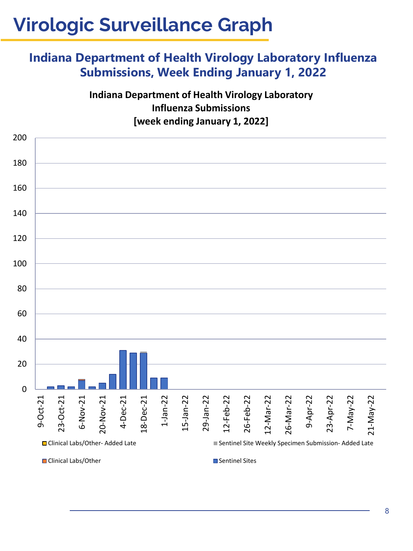# **Virologic Surveillance Graph**

### **Indiana Department of Health Virology Laboratory Influenza Submissions, Week Ending January 1, 2022**

**Indiana Department of Health Virology Laboratory Influenza Submissions [week ending January 1, 2022]**